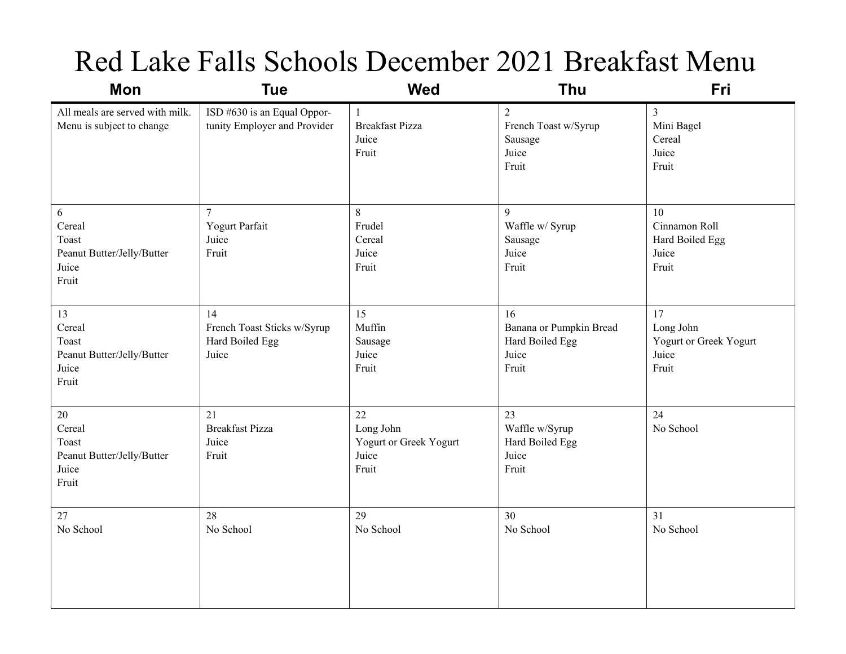## Red Lake Falls Schools December 2021 Breakfast Menu

| <b>Mon</b>                                                                | <b>Tue</b>                                                    | <b>Wed</b>                                                  | Thu                                                                 | Fri                                                         |
|---------------------------------------------------------------------------|---------------------------------------------------------------|-------------------------------------------------------------|---------------------------------------------------------------------|-------------------------------------------------------------|
| All meals are served with milk.<br>Menu is subject to change              | ISD #630 is an Equal Oppor-<br>tunity Employer and Provider   | $\mathbf{1}$<br><b>Breakfast Pizza</b><br>Juice<br>Fruit    | $\overline{2}$<br>French Toast w/Syrup<br>Sausage<br>Juice<br>Fruit | $\overline{3}$<br>Mini Bagel<br>Cereal<br>Juice<br>Fruit    |
| 6<br>Cereal<br>Toast<br>Peanut Butter/Jelly/Butter<br>Juice<br>Fruit      | $\overline{7}$<br>Yogurt Parfait<br>Juice<br>Fruit            | 8<br>Frudel<br>Cereal<br>Juice<br>Fruit                     | 9<br>Waffle w/ Syrup<br>Sausage<br>Juice<br>Fruit                   | 10<br>Cinnamon Roll<br>Hard Boiled Egg<br>Juice<br>Fruit    |
| 13<br>Cereal<br>Toast<br>Peanut Butter/Jelly/Butter<br>Juice<br>Fruit     | 14<br>French Toast Sticks w/Syrup<br>Hard Boiled Egg<br>Juice | 15<br>Muffin<br>Sausage<br>Juice<br>Fruit                   | 16<br>Banana or Pumpkin Bread<br>Hard Boiled Egg<br>Juice<br>Fruit  | 17<br>Long John<br>Yogurt or Greek Yogurt<br>Juice<br>Fruit |
| $20\,$<br>Cereal<br>Toast<br>Peanut Butter/Jelly/Butter<br>Juice<br>Fruit | 21<br><b>Breakfast Pizza</b><br>Juice<br>Fruit                | 22<br>Long John<br>Yogurt or Greek Yogurt<br>Juice<br>Fruit | 23<br>Waffle w/Syrup<br>Hard Boiled Egg<br>Juice<br>Fruit           | 24<br>No School                                             |
| $27\,$<br>No School                                                       | 28<br>No School                                               | 29<br>No School                                             | 30<br>No School                                                     | 31<br>No School                                             |